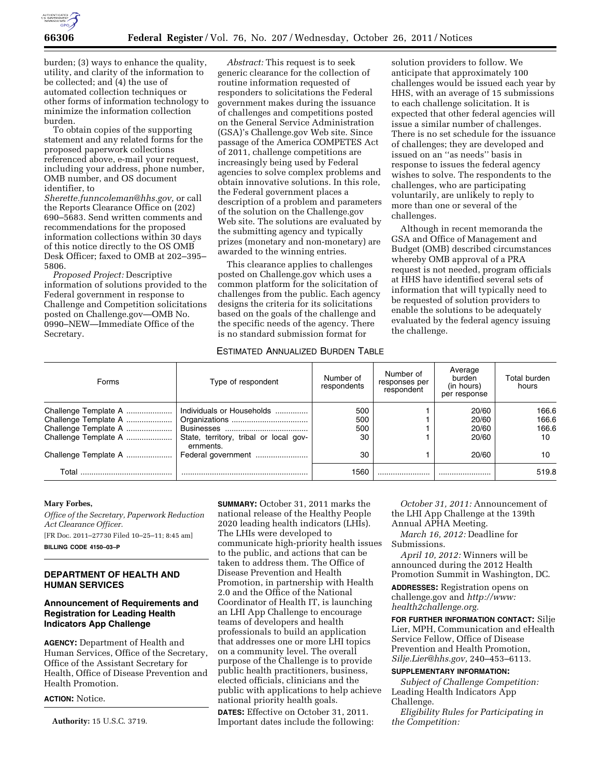

burden; (3) ways to enhance the quality, utility, and clarity of the information to be collected; and (4) the use of automated collection techniques or other forms of information technology to minimize the information collection burden.

To obtain copies of the supporting statement and any related forms for the proposed paperwork collections referenced above, e-mail your request, including your address, phone number, OMB number, and OS document identifier, to

*[Sherette.funncoleman@hhs.gov,](mailto:Sherette.funncoleman@hhs.gov)* or call the Reports Clearance Office on (202) 690–5683. Send written comments and recommendations for the proposed information collections within 30 days of this notice directly to the OS OMB Desk Officer; faxed to OMB at 202–395– 5806.

*Proposed Project:* Descriptive information of solutions provided to the Federal government in response to Challenge and Competition solicitations posted on Challenge.gov—OMB No. 0990–NEW—Immediate Office of the Secretary.

*Abstract:* This request is to seek generic clearance for the collection of routine information requested of responders to solicitations the Federal government makes during the issuance of challenges and competitions posted on the General Service Administration (GSA)'s Challenge.gov Web site. Since passage of the America COMPETES Act of 2011, challenge competitions are increasingly being used by Federal agencies to solve complex problems and obtain innovative solutions. In this role, the Federal government places a description of a problem and parameters of the solution on the Challenge.gov Web site. The solutions are evaluated by the submitting agency and typically prizes (monetary and non-monetary) are awarded to the winning entries.

This clearance applies to challenges posted on Challenge.gov which uses a common platform for the solicitation of challenges from the public. Each agency designs the criteria for its solicitations based on the goals of the challenge and the specific needs of the agency. There is no standard submission format for

solution providers to follow. We anticipate that approximately 100 challenges would be issued each year by HHS, with an average of 15 submissions to each challenge solicitation. It is expected that other federal agencies will issue a similar number of challenges. There is no set schedule for the issuance of challenges; they are developed and issued on an ''as needs'' basis in response to issues the federal agency wishes to solve. The respondents to the challenges, who are participating voluntarily, are unlikely to reply to more than one or several of the challenges.

Although in recent memoranda the GSA and Office of Management and Budget (OMB) described circumstances whereby OMB approval of a PRA request is not needed, program officials at HHS have identified several sets of information that will typically need to be requested of solution providers to enable the solutions to be adequately evaluated by the federal agency issuing the challenge.

## ESTIMATED ANNUALIZED BURDEN TABLE

| Forms                                                                                        | Type of respondent                                                  | Number of<br>respondents | Number of<br>responses per<br>respondent | Average<br>burden<br>(in hours)<br>per response | Total burden<br>hours         |
|----------------------------------------------------------------------------------------------|---------------------------------------------------------------------|--------------------------|------------------------------------------|-------------------------------------------------|-------------------------------|
| Challenge Template A<br>Challenge Template A<br>Challenge Template A<br>Challenge Template A | Individuals or Households<br>State, territory, tribal or local gov- | 500<br>500<br>500<br>30  |                                          | 20/60<br>20/60<br>20/60<br>20/60                | 166.6<br>166.6<br>166.6<br>10 |
| Challenge Template A                                                                         | ernments.<br>Federal government                                     | 30                       |                                          | 20/60                                           | 10                            |
| Total                                                                                        |                                                                     | 1560                     |                                          |                                                 | 519.8                         |

### **Mary Forbes,**

*Office of the Secretary, Paperwork Reduction Act Clearance Officer.*  [FR Doc. 2011–27730 Filed 10–25–11; 8:45 am]

**BILLING CODE 4150–03–P** 

# **DEPARTMENT OF HEALTH AND HUMAN SERVICES**

# **Announcement of Requirements and Registration for Leading Health Indicators App Challenge**

**AGENCY:** Department of Health and Human Services, Office of the Secretary, Office of the Assistant Secretary for Health, Office of Disease Prevention and Health Promotion.

**ACTION:** Notice.

**Authority:** 15 U.S.C. 3719.

**SUMMARY:** October 31, 2011 marks the national release of the Healthy People 2020 leading health indicators (LHIs). The LHIs were developed to communicate high-priority health issues to the public, and actions that can be taken to address them. The Office of Disease Prevention and Health Promotion, in partnership with Health 2.0 and the Office of the National Coordinator of Health IT, is launching an LHI App Challenge to encourage teams of developers and health professionals to build an application that addresses one or more LHI topics on a community level. The overall purpose of the Challenge is to provide public health practitioners, business, elected officials, clinicians and the public with applications to help achieve national priority health goals.

**DATES:** Effective on October 31, 2011. Important dates include the following:

*October 31, 2011:* Announcement of the LHI App Challenge at the 139th Annual APHA Meeting.

*March 16, 2012:* Deadline for Submissions.

*April 10, 2012:* Winners will be announced during the 2012 Health Promotion Summit in Washington, DC.

**ADDRESSES:** Registration opens on challenge.gov and *[http://www:](http://www.health2challenge.org) [health2challenge.org.](http://www.health2challenge.org)* 

**FOR FURTHER INFORMATION CONTACT:** Silje Lier, MPH, Communication and eHealth Service Fellow, Office of Disease Prevention and Health Promotion, *[Silje.Lier@hhs.gov,](mailto:Silje.Lier@hhs.gov)* 240–453–6113.

### **SUPPLEMENTARY INFORMATION:**

*Subject of Challenge Competition:*  Leading Health Indicators App Challenge.

*Eligibility Rules for Participating in the Competition:*